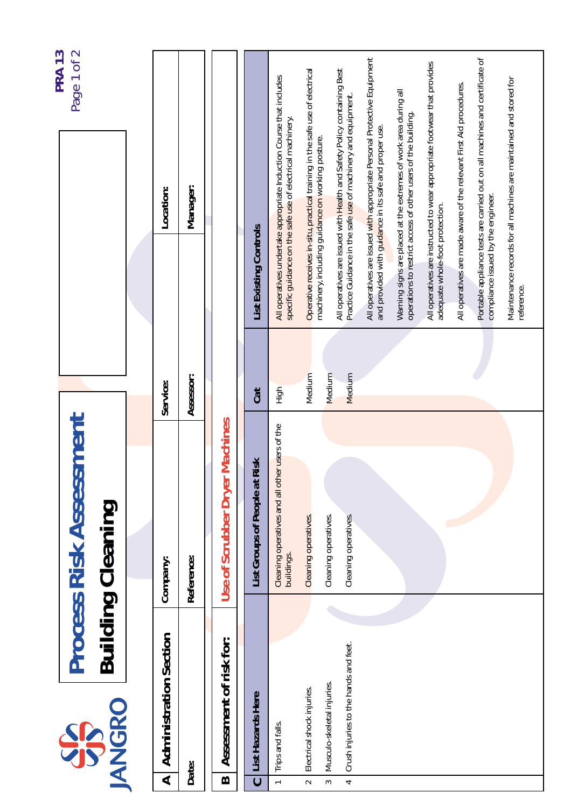|                               |                                                                     | <b>Process Risk Assessment</b>                               |                  | Page 1 of 2                                                                                                                              | <b>PRA 13</b> |
|-------------------------------|---------------------------------------------------------------------|--------------------------------------------------------------|------------------|------------------------------------------------------------------------------------------------------------------------------------------|---------------|
|                               | <b>JANGRO</b><br>SS                                                 | <b>Building Cleaning</b>                                     |                  |                                                                                                                                          |               |
|                               |                                                                     |                                                              |                  |                                                                                                                                          |               |
| ⋖                             | <b>Administration Section</b>                                       | Company:                                                     | Service:         | Location:                                                                                                                                |               |
| Date:                         |                                                                     | Reference:                                                   | Assessor:        | Manager:                                                                                                                                 |               |
| $\bf{m}$                      | Assessment of risk for:                                             | Use of Scrubber Dryer Machines                               |                  |                                                                                                                                          |               |
| $\overline{c}$                | List Hazards Here                                                   | Risk<br>List Groups of People at                             | Cat              | List Existing Controls                                                                                                                   |               |
| $\leftarrow$                  | Trips and falls.                                                    | Cleaning operatives and all other users of the<br>buildings. | High             | All operatives undertake appropriate Induction Course that includes<br>specific guidance on the safe use of electrical machinery.        |               |
| $\sim$                        | Electrical shock injuries.                                          | Cleaning operatives.                                         | Medium           | Operative receives in-situ, practical training in the safe use of electrical<br>machinery, including guidance on working posture.        |               |
| $\overline{\phantom{a}}$<br>3 | Crush injuries to the hands and feet.<br>Musculo-skeletal injuries. | Cleaning operatives.<br>Cleaning operatives.                 | Medium<br>Medium | All operatives are issued with Health and Safety Policy containing Best<br>Practice Guidance in the safe use of machinery and equipment. |               |
|                               |                                                                     |                                                              |                  | All operatives are issued with appropriate Personal Protective Equipment<br>and provided with guidance in its safe and proper use.       |               |
|                               |                                                                     |                                                              |                  | Warning signs are placed at the extremes of work area during all<br>operations to restrict access of other users of the building.        |               |
|                               |                                                                     |                                                              |                  | All operatives are instructed to wear appropriate footwear that provides<br>adequate whole-foot protection.                              |               |
|                               |                                                                     |                                                              |                  | All operatives are made aware of the relevant First Aid procedures.                                                                      |               |
|                               |                                                                     |                                                              |                  | Portable appliance tests are carried out on all machines and certificate of<br>compliance issued by the engineer.                        |               |
|                               |                                                                     |                                                              |                  | Maintenance records for all machines are maintained and stored for<br>reference.                                                         |               |
|                               |                                                                     |                                                              |                  |                                                                                                                                          |               |